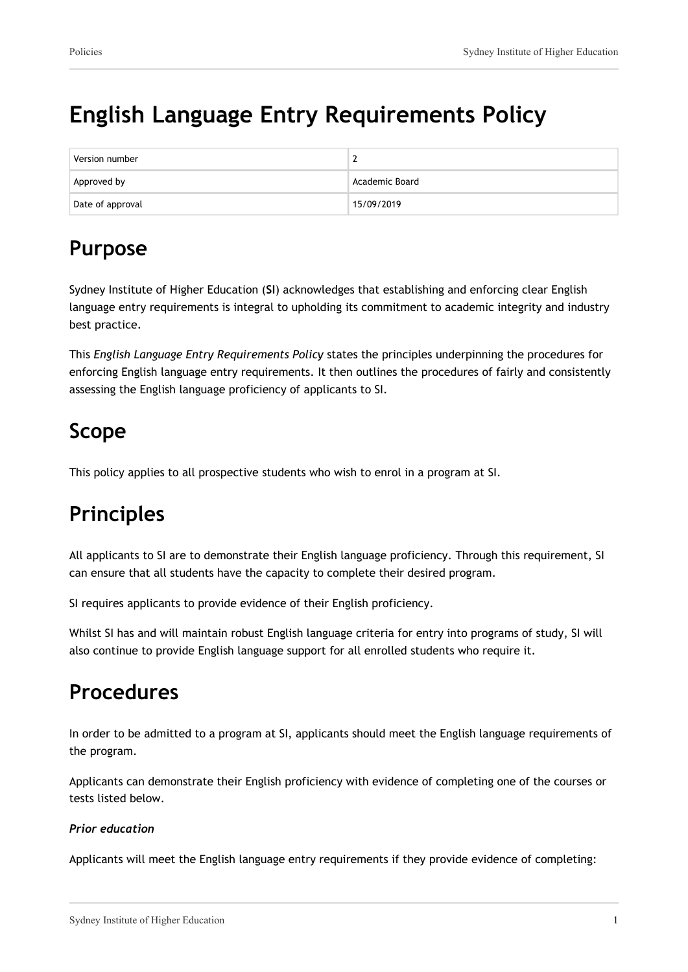# **English Language Entry Requirements Policy**

| Version number   |                |
|------------------|----------------|
| Approved by      | Academic Board |
| Date of approval | 15/09/2019     |

## **Purpose**

Sydney Institute of Higher Education (**SI**) acknowledges that establishing and enforcing clear English language entry requirements is integral to upholding its commitment to academic integrity and industry best practice.

This *English Language Entry Requirements Policy* states the principles underpinning the procedures for enforcing English language entry requirements. It then outlines the procedures of fairly and consistently assessing the English language proficiency of applicants to SI.

## **Scope**

This policy applies to all prospective students who wish to enrol in a program at SI.

## **Principles**

All applicants to SI are to demonstrate their English language proficiency. Through this requirement, SI can ensure that all students have the capacity to complete their desired program.

SI requires applicants to provide evidence of their English proficiency.

Whilst SI has and will maintain robust English language criteria for entry into programs of study, SI will also continue to provide English language support for all enrolled students who require it.

### **Procedures**

In order to be admitted to a program at SI, applicants should meet the English language requirements of the program.

Applicants can demonstrate their English proficiency with evidence of completing one of the courses or tests listed below.

#### *Prior education*

Applicants will meet the English language entry requirements if they provide evidence of completing: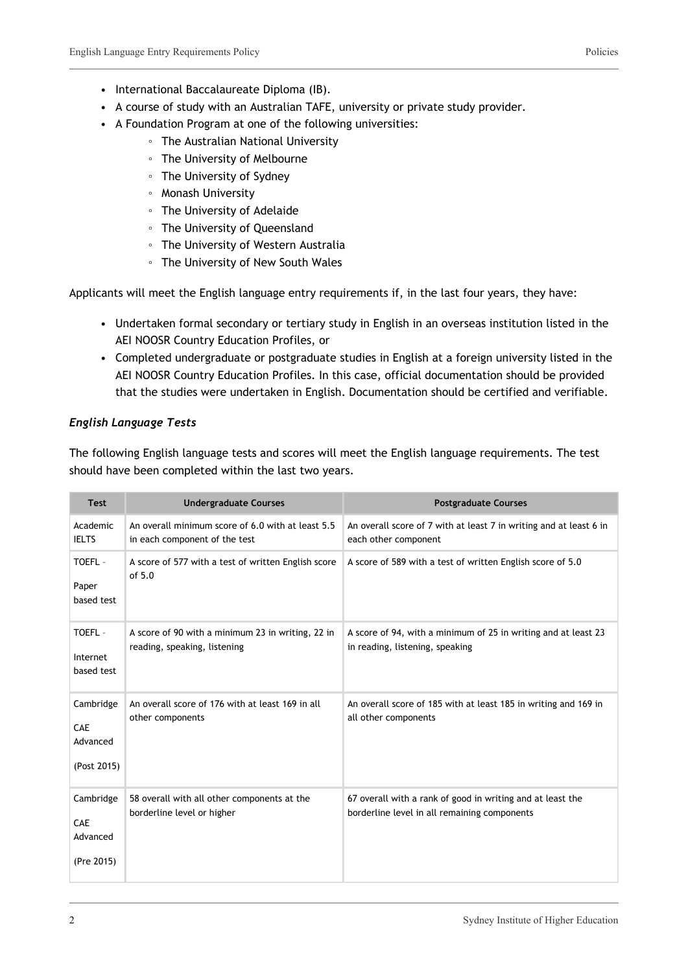- International Baccalaureate Diploma (IB).
- A course of study with an Australian TAFE, university or private study provider.
- A Foundation Program at one of the following universities:
	- The Australian National University
	- The University of Melbourne
	- The University of Sydney
	- Monash University
	- The University of Adelaide
	- The University of Queensland
	- The University of Western Australia
	- The University of New South Wales

Applicants will meet the English language entry requirements if, in the last four years, they have:

- Undertaken formal secondary or tertiary study in English in an overseas institution listed in the AEI NOOSR Country Education Profiles, or
- Completed undergraduate or postgraduate studies in English at a foreign university listed in the AEI NOOSR Country Education Profiles. In this case, official documentation should be provided that the studies were undertaken in English. Documentation should be certified and verifiable.

#### *English Language Tests*

The following English language tests and scores will meet the English language requirements. The test should have been completed within the last two years.

| <b>Test</b>                                 | <b>Undergraduate Courses</b>                                                       | <b>Postgraduate Courses</b>                                                                                |
|---------------------------------------------|------------------------------------------------------------------------------------|------------------------------------------------------------------------------------------------------------|
| Academic<br><b>IELTS</b>                    | An overall minimum score of 6.0 with at least 5.5<br>in each component of the test | An overall score of 7 with at least 7 in writing and at least 6 in<br>each other component                 |
| TOEFL-<br>Paper<br>based test               | A score of 577 with a test of written English score<br>of $5.0$                    | A score of 589 with a test of written English score of 5.0                                                 |
| TOEFL-<br>Internet<br>based test            | A score of 90 with a minimum 23 in writing, 22 in<br>reading, speaking, listening  | A score of 94, with a minimum of 25 in writing and at least 23<br>in reading, listening, speaking          |
| Cambridge<br>CAE<br>Advanced<br>(Post 2015) | An overall score of 176 with at least 169 in all<br>other components               | An overall score of 185 with at least 185 in writing and 169 in<br>all other components                    |
| Cambridge<br>CAE<br>Advanced<br>(Pre 2015)  | 58 overall with all other components at the<br>borderline level or higher          | 67 overall with a rank of good in writing and at least the<br>borderline level in all remaining components |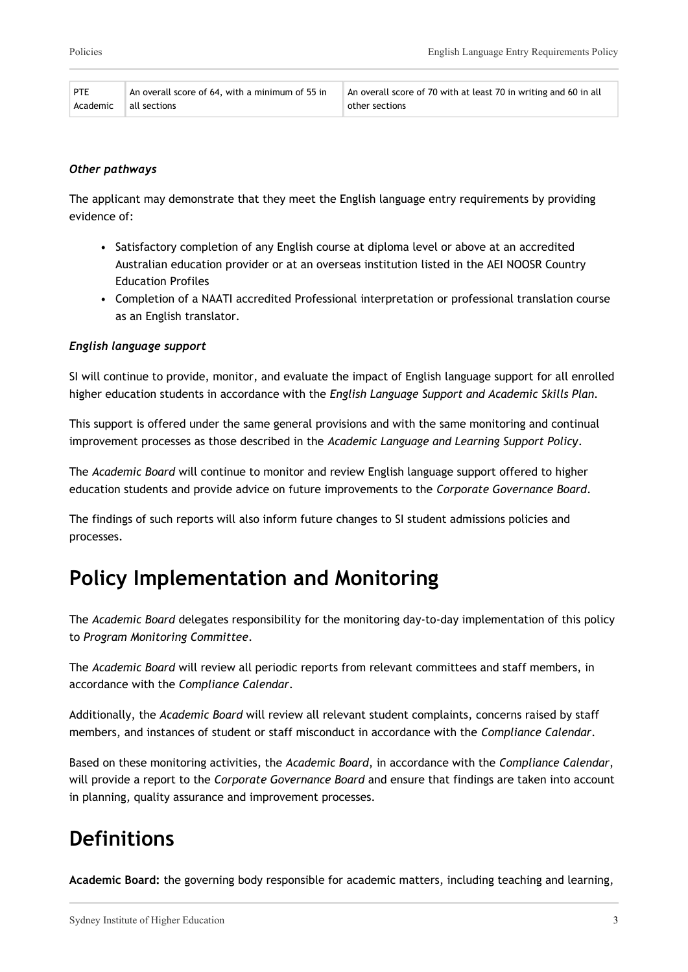| PTE | An overall score of 64, with a minimum of 55 in | An overall score of 70 with at least 70 in writing and 60 in all |
|-----|-------------------------------------------------|------------------------------------------------------------------|
|     | Academic all sections                           | other sections                                                   |

#### *Other pathways*

The applicant may demonstrate that they meet the English language entry requirements by providing evidence of:

- Satisfactory completion of any English course at diploma level or above at an accredited Australian education provider or at an overseas institution listed in the AEI NOOSR Country Education Profiles
- Completion of a NAATI accredited Professional interpretation or professional translation course as an English translator.

#### *English language support*

SI will continue to provide, monitor, and evaluate the impact of English language support for all enrolled higher education students in accordance with the *English Language Support and Academic Skills Plan.*

This support is offered under the same general provisions and with the same monitoring and continual improvement processes as those described in the *Academic Language and Learning Support Policy*.

The *Academic Board* will continue to monitor and review English language support offered to higher education students and provide advice on future improvements to the *Corporate Governance Board*.

The findings of such reports will also inform future changes to SI student admissions policies and processes.

### **Policy Implementation and Monitoring**

The *Academic Board* delegates responsibility for the monitoring day-to-day implementation of this policy to *Program Monitoring Committee*.

The *Academic Board* will review all periodic reports from relevant committees and staff members, in accordance with the *Compliance Calendar*.

Additionally, the *Academic Board* will review all relevant student complaints, concerns raised by staff members, and instances of student or staff misconduct in accordance with the *Compliance Calendar*.

Based on these monitoring activities, the *Academic Board*, in accordance with the *Compliance Calendar*, will provide a report to the *Corporate Governance Board* and ensure that findings are taken into account in planning, quality assurance and improvement processes.

### **Definitions**

**Academic Board:** the governing body responsible for academic matters, including teaching and learning,